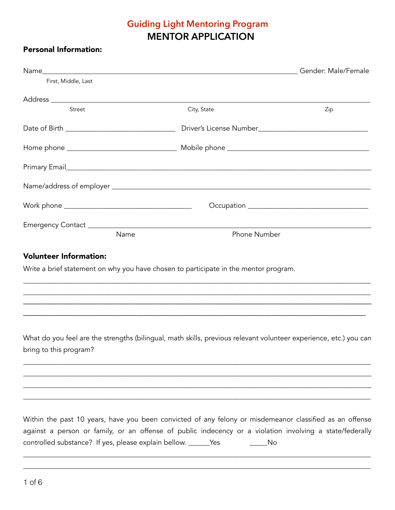## **Guiding Light Mentoring Program MENTOR APPLICATION**

### Personal Information:

| First, Middle, Last   |      |                     |     |  |  |
|-----------------------|------|---------------------|-----|--|--|
|                       |      |                     |     |  |  |
| Street                |      | City, State         | Zip |  |  |
|                       |      |                     |     |  |  |
|                       |      |                     |     |  |  |
|                       |      |                     |     |  |  |
|                       |      |                     |     |  |  |
|                       |      |                     |     |  |  |
|                       |      |                     |     |  |  |
|                       | Name | <b>Phone Number</b> |     |  |  |
| Malumbaan lufanmatian |      |                     |     |  |  |

#### Volunteer Information:

Write a brief statement on why you have chosen to participate in the mentor program.

What do you feel are the strengths (bilingual, math skills, previous relevant volunteer experience, etc.) you can bring to this program?

\_\_\_\_\_\_\_\_\_\_\_\_\_\_\_\_\_\_\_\_\_\_\_\_\_\_\_\_\_\_\_\_\_\_\_\_\_\_\_\_\_\_\_\_\_\_\_\_\_\_\_\_\_\_\_\_\_\_\_\_\_\_\_\_\_\_\_\_\_\_\_\_\_\_\_\_\_\_\_\_\_\_\_\_\_\_\_\_\_\_\_\_\_\_\_\_\_\_ \_\_\_\_\_\_\_\_\_\_\_\_\_\_\_\_\_\_\_\_\_\_\_\_\_\_\_\_\_\_\_\_\_\_\_\_\_\_\_\_\_\_\_\_\_\_\_\_\_\_\_\_\_\_\_\_\_\_\_\_\_\_\_\_\_\_\_\_\_\_\_\_\_\_\_\_\_\_\_\_\_\_\_\_\_\_\_\_\_\_\_\_\_\_\_\_\_\_ \_\_\_\_\_\_\_\_\_\_\_\_\_\_\_\_\_\_\_\_\_\_\_\_\_\_\_\_\_\_\_\_\_\_\_\_\_\_\_\_\_\_\_\_\_\_\_\_\_\_\_\_\_\_\_\_\_\_\_\_\_\_\_\_\_\_\_\_\_\_\_\_\_\_\_\_\_\_\_\_\_\_\_\_\_\_\_\_\_\_\_\_\_\_\_\_\_\_ \_\_\_\_\_\_\_\_\_\_\_\_\_\_\_\_\_\_\_\_\_\_\_\_\_\_\_\_\_\_\_\_\_\_\_\_\_\_\_\_\_\_\_\_\_\_\_\_\_\_\_\_\_\_\_\_\_\_\_\_\_\_\_\_\_\_\_\_\_\_\_\_\_\_\_\_\_\_\_\_\_\_\_\_\_\_\_\_\_\_\_\_\_\_\_\_\_\_

\_\_\_\_\_\_\_\_\_\_\_\_\_\_\_\_\_\_\_\_\_\_\_\_\_\_\_\_\_\_\_\_\_\_\_\_\_\_\_\_\_\_\_\_\_\_\_\_\_\_\_\_\_\_\_\_\_\_\_\_\_\_\_\_\_\_\_\_\_\_\_\_\_\_\_\_\_\_\_\_\_\_\_\_\_\_\_\_\_\_\_\_\_\_\_\_\_\_ \_\_\_\_\_\_\_\_\_\_\_\_\_\_\_\_\_\_\_\_\_\_\_\_\_\_\_\_\_\_\_\_\_\_\_\_\_\_\_\_\_\_\_\_\_\_\_\_\_\_\_\_\_\_\_\_\_\_\_\_\_\_\_\_\_\_\_\_\_\_\_\_\_\_\_\_\_\_\_\_\_\_\_\_\_\_\_\_\_\_\_\_\_\_\_\_\_\_ ————————————————————————————————————————————————— ————————————————————————————————————————————————-

Within the past 10 years, have you been convicted of any felony or misdemeanor classified as an offense against a person or family, or an offense of public indecency or a violation involving a state/federally controlled substance? If yes, please explain bellow. \_\_\_\_\_\_Yes \_\_\_\_\_\_\_\_\_\_\_\_\_\_No

\_\_\_\_\_\_\_\_\_\_\_\_\_\_\_\_\_\_\_\_\_\_\_\_\_\_\_\_\_\_\_\_\_\_\_\_\_\_\_\_\_\_\_\_\_\_\_\_\_\_\_\_\_\_\_\_\_\_\_\_\_\_\_\_\_\_\_\_\_\_\_\_\_\_\_\_\_\_\_\_\_\_\_\_\_\_\_\_\_\_\_\_\_\_\_\_\_\_ \_\_\_\_\_\_\_\_\_\_\_\_\_\_\_\_\_\_\_\_\_\_\_\_\_\_\_\_\_\_\_\_\_\_\_\_\_\_\_\_\_\_\_\_\_\_\_\_\_\_\_\_\_\_\_\_\_\_\_\_\_\_\_\_\_\_\_\_\_\_\_\_\_\_\_\_\_\_\_\_\_\_\_\_\_\_\_\_\_\_\_\_\_\_\_\_\_\_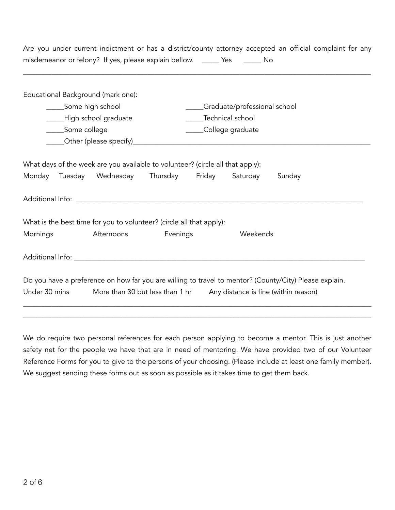Are you under current indictment or has a district/county attorney accepted an official complaint for any misdemeanor or felony? If yes, please explain bellow. \_\_\_\_\_ Yes \_\_\_\_\_\_ No

\_\_\_\_\_\_\_\_\_\_\_\_\_\_\_\_\_\_\_\_\_\_\_\_\_\_\_\_\_\_\_\_\_\_\_\_\_\_\_\_\_\_\_\_\_\_\_\_\_\_\_\_\_\_\_\_\_\_\_\_\_\_\_\_\_\_\_\_\_\_\_\_\_\_\_\_\_\_\_\_\_\_\_\_\_\_\_\_\_\_\_\_\_\_\_\_\_\_

|                                                                                    |  | Educational Background (mark one):                                                                                                  |                              |  |          |                                                                                                        |  |  |
|------------------------------------------------------------------------------------|--|-------------------------------------------------------------------------------------------------------------------------------------|------------------------------|--|----------|--------------------------------------------------------------------------------------------------------|--|--|
| Some high school                                                                   |  |                                                                                                                                     | Graduate/professional school |  |          |                                                                                                        |  |  |
| ____High school graduate                                                           |  | ____Technical school                                                                                                                |                              |  |          |                                                                                                        |  |  |
| _____Some college                                                                  |  | _____College graduate                                                                                                               |                              |  |          |                                                                                                        |  |  |
|                                                                                    |  |                                                                                                                                     |                              |  |          |                                                                                                        |  |  |
|                                                                                    |  | What days of the week are you available to volunteer? (circle all that apply):<br>Monday Tuesday Wednesday Thursday Friday Saturday |                              |  |          | Sunday                                                                                                 |  |  |
|                                                                                    |  |                                                                                                                                     |                              |  |          |                                                                                                        |  |  |
|                                                                                    |  |                                                                                                                                     |                              |  |          |                                                                                                        |  |  |
|                                                                                    |  | What is the best time for you to volunteer? (circle all that apply):                                                                |                              |  |          |                                                                                                        |  |  |
| Mornings                                                                           |  | Afternoons                                                                                                                          | Evenings                     |  | Weekends |                                                                                                        |  |  |
|                                                                                    |  |                                                                                                                                     |                              |  |          |                                                                                                        |  |  |
|                                                                                    |  |                                                                                                                                     |                              |  |          | Do you have a preference on how far you are willing to travel to mentor? (County/City) Please explain. |  |  |
| Under 30 mins More than 30 but less than 1 hr Any distance is fine (within reason) |  |                                                                                                                                     |                              |  |          |                                                                                                        |  |  |
|                                                                                    |  |                                                                                                                                     |                              |  |          |                                                                                                        |  |  |

We do require two personal references for each person applying to become a mentor. This is just another safety net for the people we have that are in need of mentoring. We have provided two of our Volunteer Reference Forms for you to give to the persons of your choosing. (Please include at least one family member). We suggest sending these forms out as soon as possible as it takes time to get them back.

\_\_\_\_\_\_\_\_\_\_\_\_\_\_\_\_\_\_\_\_\_\_\_\_\_\_\_\_\_\_\_\_\_\_\_\_\_\_\_\_\_\_\_\_\_\_\_\_\_\_\_\_\_\_\_\_\_\_\_\_\_\_\_\_\_\_\_\_\_\_\_\_\_\_\_\_\_\_\_\_\_\_\_\_\_\_\_\_\_\_\_\_\_\_\_\_\_\_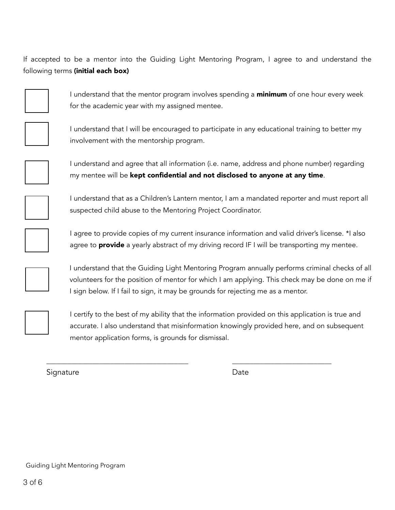If accepted to be a mentor into the Guiding Light Mentoring Program, I agree to and understand the following terms (initial each box)



I understand that the mentor program involves spending a **minimum** of one hour every week for the academic year with my assigned mentee.



I understand that I will be encouraged to participate in any educational training to better my involvement with the mentorship program.



I understand and agree that all information (i.e. name, address and phone number) regarding my mentee will be **kept confidential and not disclosed to anyone at any time**.



 I understand that as a Children's Lantern mentor, I am a mandated reporter and must report all suspected child abuse to the Mentoring Project Coordinator.



I agree to provide copies of my current insurance information and valid driver's license. \*I also agree to **provide** a yearly abstract of my driving record  $IF I will be transforming my$  mentee.



I understand that the Guiding Light Mentoring Program annually performs criminal checks of all volunteers for the position of mentor for which I am applying. This check may be done on me if I sign below. If I fail to sign, it may be grounds for rejecting me as a mentor.



 I certify to the best of my ability that the information provided on this application is true and accurate. I also understand that misinformation knowingly provided here, and on subsequent mentor application forms, is grounds for dismissal.

\_\_\_\_\_\_\_\_\_\_\_\_\_\_\_\_\_\_\_\_\_\_\_\_\_\_\_\_\_\_\_\_\_\_\_\_\_\_\_\_ \_\_\_\_\_\_\_\_\_\_\_\_\_\_\_\_\_\_\_\_\_\_\_\_\_\_\_\_

Signature **Date**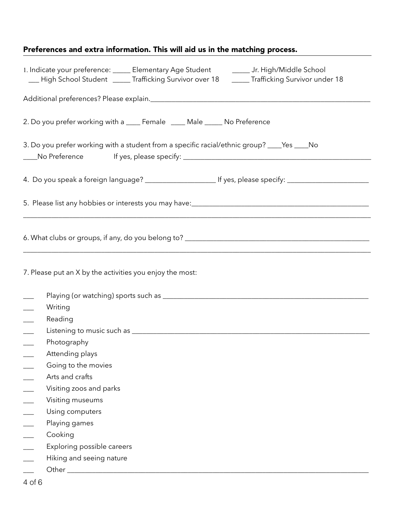# Preferences and extra information. This will aid us in the matching process.

| 1. Indicate your preference: _____ Elementary Age Student _________ Jr. High/Middle School<br>__ High School Student ____ Trafficking Survivor over 18 _____ Trafficking Survivor under 18                                    |
|-------------------------------------------------------------------------------------------------------------------------------------------------------------------------------------------------------------------------------|
|                                                                                                                                                                                                                               |
| 2. Do you prefer working with a ____ Female ____ Male _____ No Preference                                                                                                                                                     |
| 3. Do you prefer working with a student from a specific racial/ethnic group? ____Yes ____No                                                                                                                                   |
|                                                                                                                                                                                                                               |
| 4. Do you speak a foreign language? ________________________ If yes, please specify: ________________________                                                                                                                 |
| 5. Please list any hobbies or interests you may have:<br>1. The manuscript and the manuscript and the manuscript and the manuscript of the manuscript and the state of<br><u> 1980 - Johann Barbara, martxa alemaniar arg</u> |
|                                                                                                                                                                                                                               |
| 7. Please put an X by the activities you enjoy the most:                                                                                                                                                                      |
|                                                                                                                                                                                                                               |
| Writing                                                                                                                                                                                                                       |
| Reading                                                                                                                                                                                                                       |
|                                                                                                                                                                                                                               |
| Photography                                                                                                                                                                                                                   |
| Attending plays                                                                                                                                                                                                               |
| Going to the movies                                                                                                                                                                                                           |
| Arts and crafts                                                                                                                                                                                                               |
| Visiting zoos and parks                                                                                                                                                                                                       |
| Visiting museums                                                                                                                                                                                                              |
| Using computers                                                                                                                                                                                                               |
| Playing games                                                                                                                                                                                                                 |
| Cooking                                                                                                                                                                                                                       |
| Exploring possible careers                                                                                                                                                                                                    |
| Hiking and seeing nature                                                                                                                                                                                                      |
|                                                                                                                                                                                                                               |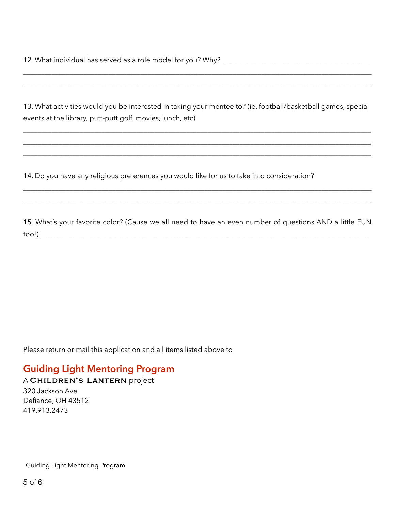13. What activities would you be interested in taking your mentee to? (ie. football/basketball games, special events at the library, putt-putt golf, movies, lunch, etc)

\_\_\_\_\_\_\_\_\_\_\_\_\_\_\_\_\_\_\_\_\_\_\_\_\_\_\_\_\_\_\_\_\_\_\_\_\_\_\_\_\_\_\_\_\_\_\_\_\_\_\_\_\_\_\_\_\_\_\_\_\_\_\_\_\_\_\_\_\_\_\_\_\_\_\_\_\_\_\_\_\_\_\_\_\_\_\_\_\_\_\_\_\_\_\_\_\_\_ \_\_\_\_\_\_\_\_\_\_\_\_\_\_\_\_\_\_\_\_\_\_\_\_\_\_\_\_\_\_\_\_\_\_\_\_\_\_\_\_\_\_\_\_\_\_\_\_\_\_\_\_\_\_\_\_\_\_\_\_\_\_\_\_\_\_\_\_\_\_\_\_\_\_\_\_\_\_\_\_\_\_\_\_\_\_\_\_\_\_\_\_\_\_\_\_\_\_ \_\_\_\_\_\_\_\_\_\_\_\_\_\_\_\_\_\_\_\_\_\_\_\_\_\_\_\_\_\_\_\_\_\_\_\_\_\_\_\_\_\_\_\_\_\_\_\_\_\_\_\_\_\_\_\_\_\_\_\_\_\_\_\_\_\_\_\_\_\_\_\_\_\_\_\_\_\_\_\_\_\_\_\_\_\_\_\_\_\_\_\_\_\_\_\_\_\_

\_\_\_\_\_\_\_\_\_\_\_\_\_\_\_\_\_\_\_\_\_\_\_\_\_\_\_\_\_\_\_\_\_\_\_\_\_\_\_\_\_\_\_\_\_\_\_\_\_\_\_\_\_\_\_\_\_\_\_\_\_\_\_\_\_\_\_\_\_\_\_\_\_\_\_\_\_\_\_\_\_\_\_\_\_\_\_\_\_\_\_\_\_\_\_\_\_\_ \_\_\_\_\_\_\_\_\_\_\_\_\_\_\_\_\_\_\_\_\_\_\_\_\_\_\_\_\_\_\_\_\_\_\_\_\_\_\_\_\_\_\_\_\_\_\_\_\_\_\_\_\_\_\_\_\_\_\_\_\_\_\_\_\_\_\_\_\_\_\_\_\_\_\_\_\_\_\_\_\_\_\_\_\_\_\_\_\_\_\_\_\_\_\_\_\_\_

14. Do you have any religious preferences you would like for us to take into consideration?

15. What's your favorite color? (Cause we all need to have an even number of questions AND a little FUN too!) \_\_\_\_\_\_\_\_\_\_\_\_\_\_\_\_\_\_\_\_\_\_\_\_\_\_\_\_\_\_\_\_\_\_\_\_\_\_\_\_\_\_\_\_\_\_\_\_\_\_\_\_\_\_\_\_\_\_\_\_\_\_\_\_\_\_\_\_\_\_\_\_\_\_\_\_\_\_\_\_\_\_\_\_\_\_\_\_\_\_\_\_\_

\_\_\_\_\_\_\_\_\_\_\_\_\_\_\_\_\_\_\_\_\_\_\_\_\_\_\_\_\_\_\_\_\_\_\_\_\_\_\_\_\_\_\_\_\_\_\_\_\_\_\_\_\_\_\_\_\_\_\_\_\_\_\_\_\_\_\_\_\_\_\_\_\_\_\_\_\_\_\_\_\_\_\_\_\_\_\_\_\_\_\_\_\_\_\_\_\_\_ \_\_\_\_\_\_\_\_\_\_\_\_\_\_\_\_\_\_\_\_\_\_\_\_\_\_\_\_\_\_\_\_\_\_\_\_\_\_\_\_\_\_\_\_\_\_\_\_\_\_\_\_\_\_\_\_\_\_\_\_\_\_\_\_\_\_\_\_\_\_\_\_\_\_\_\_\_\_\_\_\_\_\_\_\_\_\_\_\_\_\_\_\_\_\_\_\_\_

Please return or mail this application and all items listed above to

# **Guiding Light Mentoring Program**

A Children's Lantern project

320 Jackson Ave. Defiance, OH 43512 419.913.2473

Guiding Light Mentoring Program